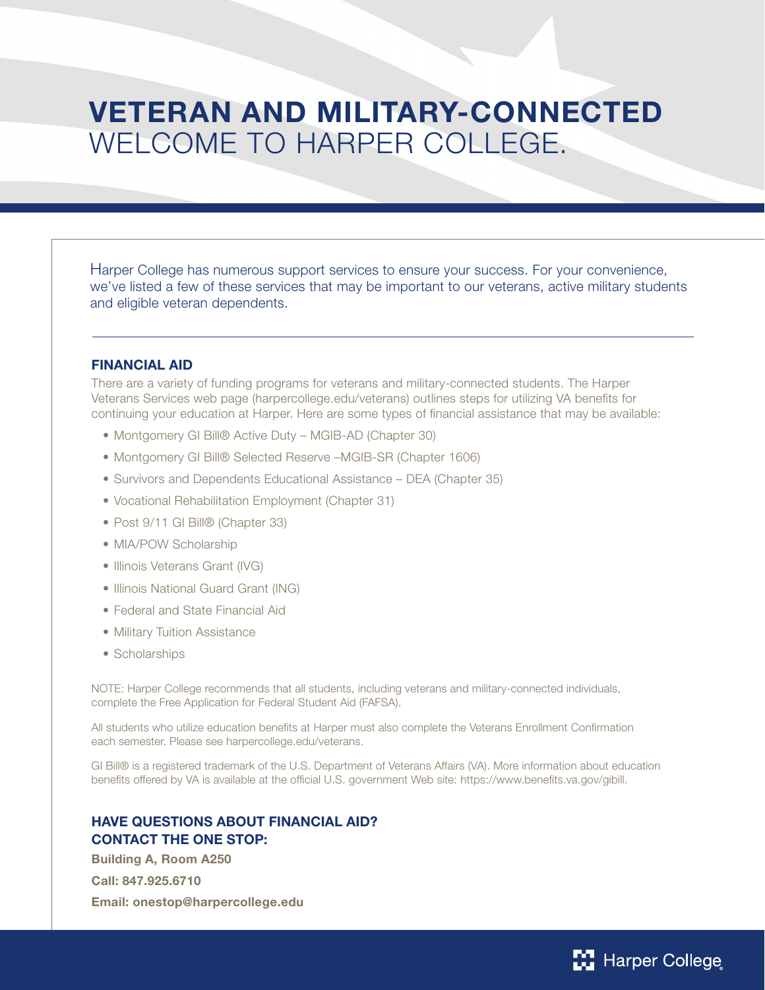# VETERAN AND MILITARY-CONNECTED WELCOME TO HARPER COLLEGE.

Harper College has numerous support services to ensure your success. For your convenience, we've listed a few of these services that may be important to our veterans, active military students and eligible veteran dependents.

#### FINANCIAL AID

There are a variety of funding programs for veterans and military-connected students. The Harper Veterans Services web page (harpercollege.edu/veterans) outlines steps for utilizing VA benefits for continuing your education at Harper. Here are some types of financial assistance that may be available:

- Montgomery GI Bill® Active Duty MGIB-AD (Chapter 30)
- Montgomery GI Bill® Selected Reserve –MGIB-SR (Chapter 1606)
- Survivors and Dependents Educational Assistance DEA (Chapter 35)
- Vocational Rehabilitation Employment (Chapter 31)
- Post 9/11 GI Bill® (Chapter 33)
- MIA/POW Scholarship
- Illinois Veterans Grant (IVG)
- Illinois National Guard Grant (ING)
- Federal and State Financial Aid
- Military Tuition Assistance
- Scholarships

NOTE: Harper College recommends that all students, including veterans and military-connected individuals, complete the Free Application for Federal Student Aid (FAFSA).

All students who utilize education benefits at Harper must also complete the Veterans Enrollment Confirmation each semester. Please see harpercollege.edu/veterans.

GI Bill® is a registered trademark of the U.S. Department of Veterans Affairs (VA). More information about education benefits offered by VA is available at the official U.S. government Web site: https://www.benefits.va.gov/gibill.

## HAVE QUESTIONS ABOUT FINANCIAL AID? CONTACT THE ONE STOP:

Building A, Room A250 Call: 847.925.6710 Email: onestop@harpercollege.edu